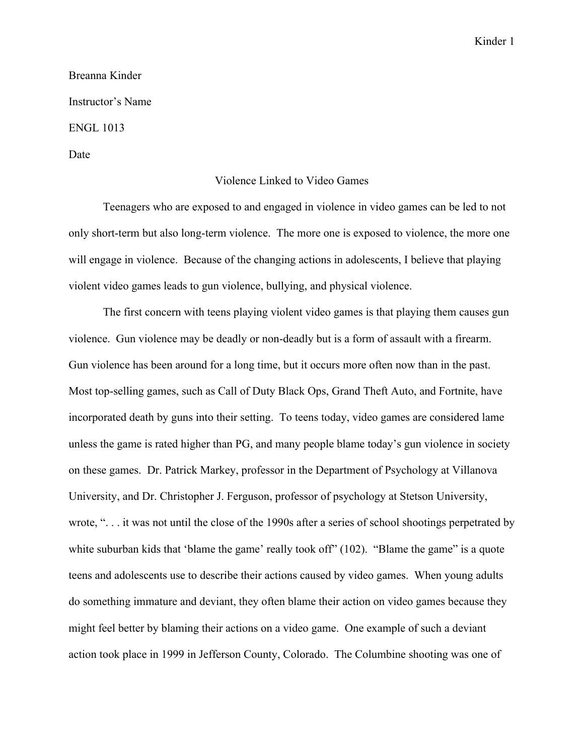Kinder 1

Breanna Kinder Instructor's Name ENGL 1013 Date

## Violence Linked to Video Games

Teenagers who are exposed to and engaged in violence in video games can be led to not only short-term but also long-term violence. The more one is exposed to violence, the more one will engage in violence. Because of the changing actions in adolescents, I believe that playing violent video games leads to gun violence, bullying, and physical violence.

The first concern with teens playing violent video games is that playing them causes gun violence. Gun violence may be deadly or non-deadly but is a form of assault with a firearm. Gun violence has been around for a long time, but it occurs more often now than in the past. Most top-selling games, such as Call of Duty Black Ops, Grand Theft Auto, and Fortnite, have incorporated death by guns into their setting. To teens today, video games are considered lame unless the game is rated higher than PG, and many people blame today's gun violence in society on these games. Dr. Patrick Markey, professor in the Department of Psychology at Villanova University, and Dr. Christopher J. Ferguson, professor of psychology at Stetson University, wrote, ". . . it was not until the close of the 1990s after a series of school shootings perpetrated by white suburban kids that 'blame the game' really took off" (102). "Blame the game" is a quote teens and adolescents use to describe their actions caused by video games. When young adults do something immature and deviant, they often blame their action on video games because they might feel better by blaming their actions on a video game. One example of such a deviant action took place in 1999 in Jefferson County, Colorado. The Columbine shooting was one of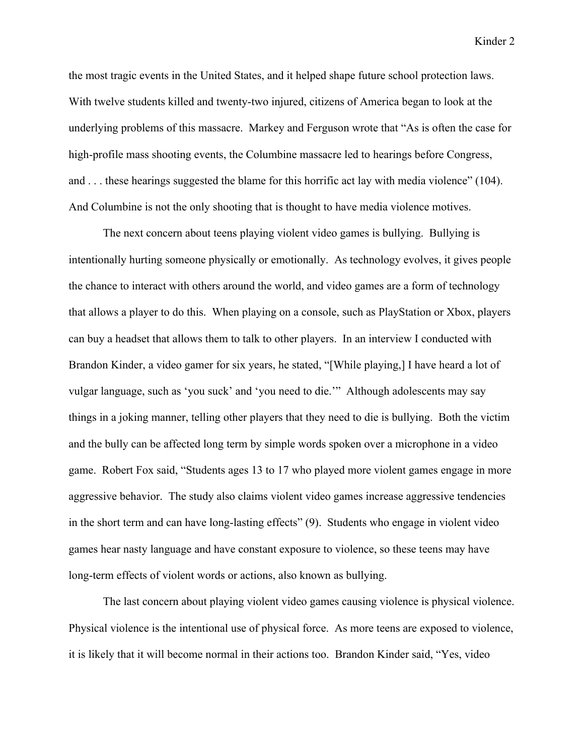Kinder 2

the most tragic events in the United States, and it helped shape future school protection laws. With twelve students killed and twenty-two injured, citizens of America began to look at the underlying problems of this massacre. Markey and Ferguson wrote that "As is often the case for high-profile mass shooting events, the Columbine massacre led to hearings before Congress, and . . . these hearings suggested the blame for this horrific act lay with media violence" (104). And Columbine is not the only shooting that is thought to have media violence motives.

The next concern about teens playing violent video games is bullying. Bullying is intentionally hurting someone physically or emotionally. As technology evolves, it gives people the chance to interact with others around the world, and video games are a form of technology that allows a player to do this. When playing on a console, such as PlayStation or Xbox, players can buy a headset that allows them to talk to other players. In an interview I conducted with Brandon Kinder, a video gamer for six years, he stated, "[While playing,] I have heard a lot of vulgar language, such as 'you suck' and 'you need to die.'" Although adolescents may say things in a joking manner, telling other players that they need to die is bullying. Both the victim and the bully can be affected long term by simple words spoken over a microphone in a video game. Robert Fox said, "Students ages 13 to 17 who played more violent games engage in more aggressive behavior. The study also claims violent video games increase aggressive tendencies in the short term and can have long-lasting effects" (9). Students who engage in violent video games hear nasty language and have constant exposure to violence, so these teens may have long-term effects of violent words or actions, also known as bullying.

The last concern about playing violent video games causing violence is physical violence. Physical violence is the intentional use of physical force. As more teens are exposed to violence, it is likely that it will become normal in their actions too. Brandon Kinder said, "Yes, video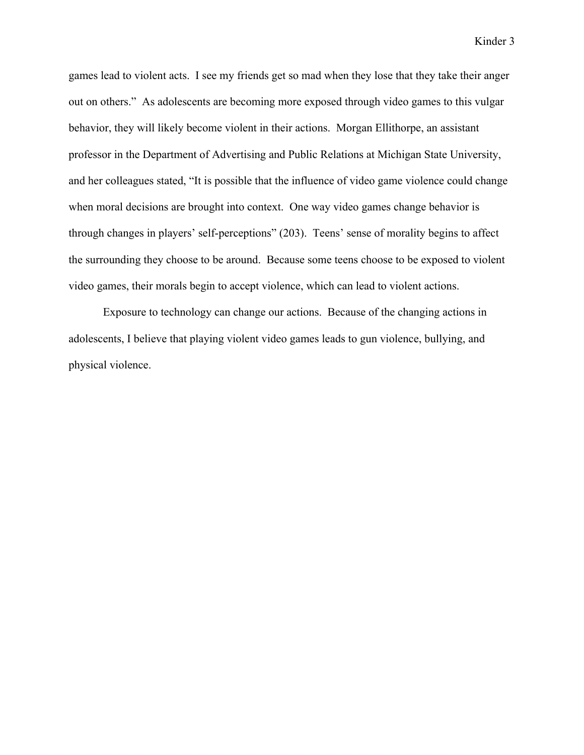Kinder 3

games lead to violent acts. I see my friends get so mad when they lose that they take their anger out on others." As adolescents are becoming more exposed through video games to this vulgar behavior, they will likely become violent in their actions. Morgan Ellithorpe, an assistant professor in the Department of Advertising and Public Relations at Michigan State University, and her colleagues stated, "It is possible that the influence of video game violence could change when moral decisions are brought into context. One way video games change behavior is through changes in players' self-perceptions" (203). Teens' sense of morality begins to affect the surrounding they choose to be around. Because some teens choose to be exposed to violent video games, their morals begin to accept violence, which can lead to violent actions.

Exposure to technology can change our actions. Because of the changing actions in adolescents, I believe that playing violent video games leads to gun violence, bullying, and physical violence.